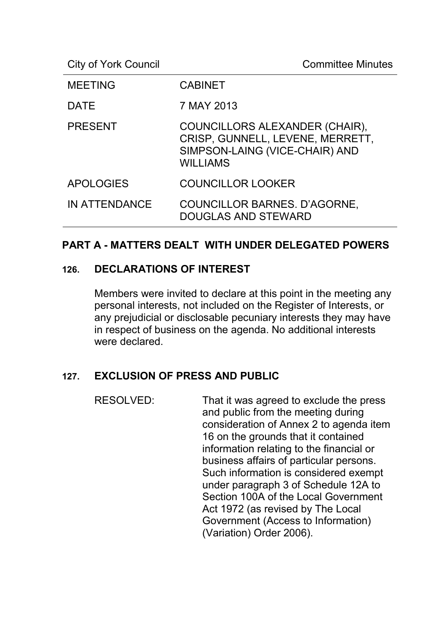City of York Council **Committee Minutes** 

| <b>MEETING</b>   | <b>CABINET</b>                                                                                                          |
|------------------|-------------------------------------------------------------------------------------------------------------------------|
| <b>DATE</b>      | 7 MAY 2013                                                                                                              |
| <b>PRESENT</b>   | COUNCILLORS ALEXANDER (CHAIR),<br>CRISP, GUNNELL, LEVENE, MERRETT,<br>SIMPSON-LAING (VICE-CHAIR) AND<br><b>WILLIAMS</b> |
| <b>APOLOGIES</b> | <b>COUNCILLOR LOOKER</b>                                                                                                |
| IN ATTENDANCE    | COUNCILLOR BARNES. D'AGORNE,<br><b>DOUGLAS AND STEWARD</b>                                                              |

#### **PART A - MATTERS DEALT WITH UNDER DELEGATED POWERS**

#### **126. DECLARATIONS OF INTEREST**

Members were invited to declare at this point in the meeting any personal interests, not included on the Register of Interests, or any prejudicial or disclosable pecuniary interests they may have in respect of business on the agenda. No additional interests were declared.

## **127. EXCLUSION OF PRESS AND PUBLIC**

RESOLVED: That it was agreed to exclude the press and public from the meeting during consideration of Annex 2 to agenda item 16 on the grounds that it contained information relating to the financial or business affairs of particular persons. Such information is considered exempt under paragraph 3 of Schedule 12A to Section 100A of the Local Government Act 1972 (as revised by The Local Government (Access to Information) (Variation) Order 2006).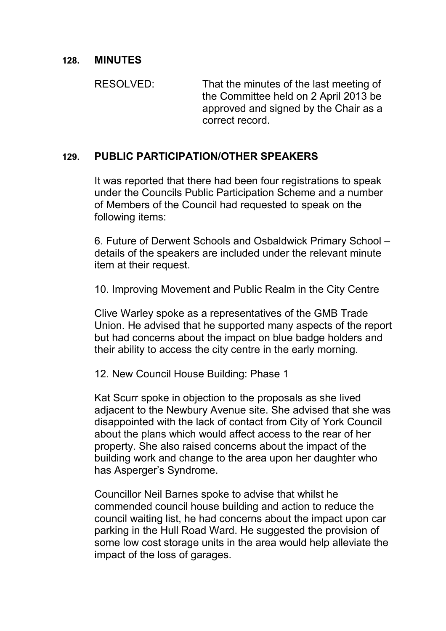#### **128. MINUTES**

RESOLVED: That the minutes of the last meeting of the Committee held on 2 April 2013 be approved and signed by the Chair as a correct record.

#### **129. PUBLIC PARTICIPATION/OTHER SPEAKERS**

It was reported that there had been four registrations to speak under the Councils Public Participation Scheme and a number of Members of the Council had requested to speak on the following items:

6. Future of Derwent Schools and Osbaldwick Primary School – details of the speakers are included under the relevant minute item at their request.

10. Improving Movement and Public Realm in the City Centre

Clive Warley spoke as a representatives of the GMB Trade Union. He advised that he supported many aspects of the report but had concerns about the impact on blue badge holders and their ability to access the city centre in the early morning.

12. New Council House Building: Phase 1

Kat Scurr spoke in objection to the proposals as she lived adjacent to the Newbury Avenue site. She advised that she was disappointed with the lack of contact from City of York Council about the plans which would affect access to the rear of her property. She also raised concerns about the impact of the building work and change to the area upon her daughter who has Asperger's Syndrome.

Councillor Neil Barnes spoke to advise that whilst he commended council house building and action to reduce the council waiting list, he had concerns about the impact upon car parking in the Hull Road Ward. He suggested the provision of some low cost storage units in the area would help alleviate the impact of the loss of garages.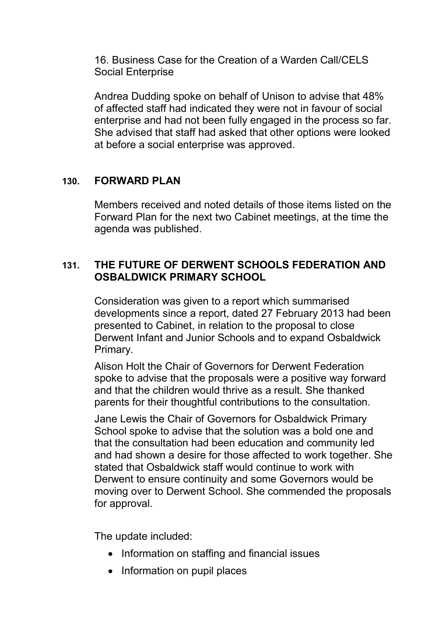16. Business Case for the Creation of a Warden Call/CELS Social Enterprise

Andrea Dudding spoke on behalf of Unison to advise that 48% of affected staff had indicated they were not in favour of social enterprise and had not been fully engaged in the process so far. She advised that staff had asked that other options were looked at before a social enterprise was approved.

## **130. FORWARD PLAN**

Members received and noted details of those items listed on the Forward Plan for the next two Cabinet meetings, at the time the agenda was published.

## **131. THE FUTURE OF DERWENT SCHOOLS FEDERATION AND OSBALDWICK PRIMARY SCHOOL**

Consideration was given to a report which summarised developments since a report, dated 27 February 2013 had been presented to Cabinet, in relation to the proposal to close Derwent Infant and Junior Schools and to expand Osbaldwick Primary.

Alison Holt the Chair of Governors for Derwent Federation spoke to advise that the proposals were a positive way forward and that the children would thrive as a result. She thanked parents for their thoughtful contributions to the consultation.

Jane Lewis the Chair of Governors for Osbaldwick Primary School spoke to advise that the solution was a bold one and that the consultation had been education and community led and had shown a desire for those affected to work together. She stated that Osbaldwick staff would continue to work with Derwent to ensure continuity and some Governors would be moving over to Derwent School. She commended the proposals for approval.

The update included:

- Information on staffing and financial issues
- Information on pupil places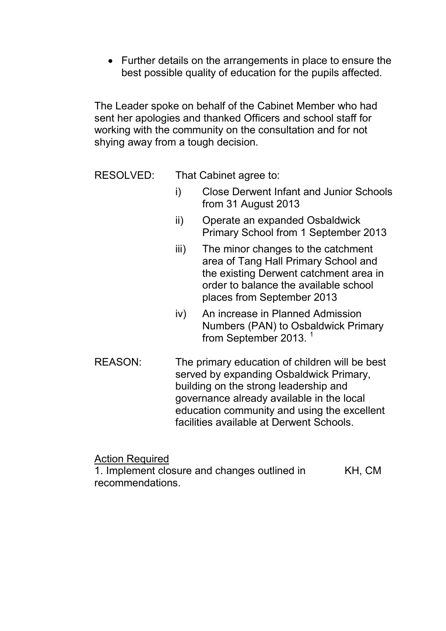• Further details on the arrangements in place to ensure the best possible quality of education for the pupils affected.

The Leader spoke on behalf of the Cabinet Member who had sent her apologies and thanked Officers and school staff for working with the community on the consultation and for not shying away from a tough decision.

RESOLVED: That Cabinet agree to:

- i) Close Derwent Infant and Junior Schools from 31 August 2013
- ii) Operate an expanded Osbaldwick Primary School from 1 September 2013
- iii) The minor changes to the catchment area of Tang Hall Primary School and the existing Derwent catchment area in order to balance the available school places from September 2013
- iv) An increase in Planned Admission Numbers (PAN) to Osbaldwick Primary from September 2013.<sup>1</sup>
- REASON: The primary education of children will be best served by expanding Osbaldwick Primary, building on the strong leadership and governance already available in the local education community and using the excellent facilities available at Derwent Schools.

Action Required

1. Implement closure and changes outlined in recommendations. KH, CM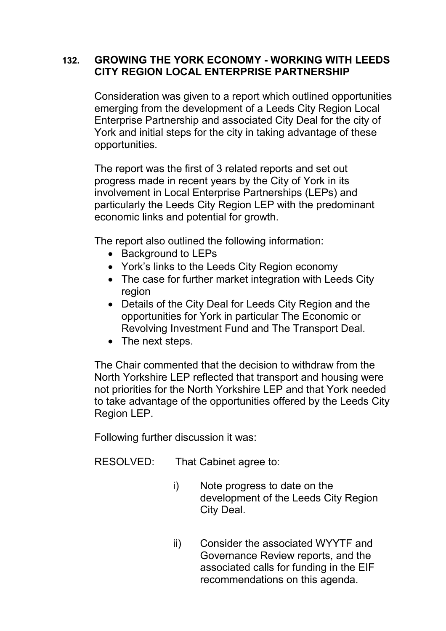### **132. GROWING THE YORK ECONOMY - WORKING WITH LEEDS CITY REGION LOCAL ENTERPRISE PARTNERSHIP**

Consideration was given to a report which outlined opportunities emerging from the development of a Leeds City Region Local Enterprise Partnership and associated City Deal for the city of York and initial steps for the city in taking advantage of these opportunities.

The report was the first of 3 related reports and set out progress made in recent years by the City of York in its involvement in Local Enterprise Partnerships (LEPs) and particularly the Leeds City Region LEP with the predominant economic links and potential for growth.

The report also outlined the following information:

- Background to LEPs
- York's links to the Leeds City Region economy
- The case for further market integration with Leeds City region
- Details of the City Deal for Leeds City Region and the opportunities for York in particular The Economic or Revolving Investment Fund and The Transport Deal.
- The next steps.

The Chair commented that the decision to withdraw from the North Yorkshire LEP reflected that transport and housing were not priorities for the North Yorkshire LEP and that York needed to take advantage of the opportunities offered by the Leeds City Region LEP.

Following further discussion it was:

RESOLVED: That Cabinet agree to:

- i) Note progress to date on the development of the Leeds City Region City Deal.
- ii) Consider the associated WYYTF and Governance Review reports, and the associated calls for funding in the EIF recommendations on this agenda.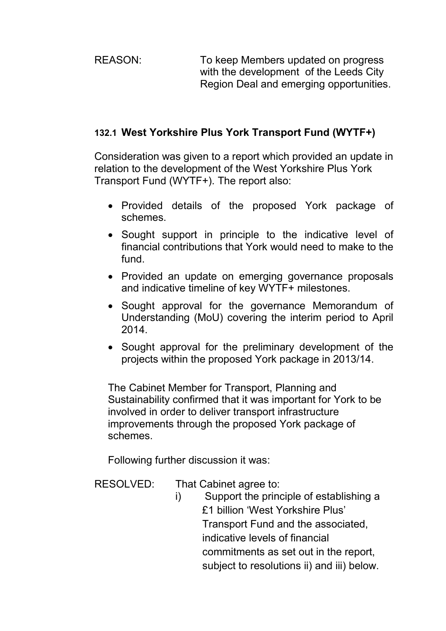REASON: To keep Members updated on progress with the development of the Leeds City Region Deal and emerging opportunities.

# **132.1 West Yorkshire Plus York Transport Fund (WYTF+)**

Consideration was given to a report which provided an update in relation to the development of the West Yorkshire Plus York Transport Fund (WYTF+). The report also:

- Provided details of the proposed York package of schemes.
- Sought support in principle to the indicative level of financial contributions that York would need to make to the fund.
- Provided an update on emerging governance proposals and indicative timeline of key WYTF+ milestones.
- Sought approval for the governance Memorandum of Understanding (MoU) covering the interim period to April 2014.
- Sought approval for the preliminary development of the projects within the proposed York package in 2013/14.

The Cabinet Member for Transport, Planning and Sustainability confirmed that it was important for York to be involved in order to deliver transport infrastructure improvements through the proposed York package of schemes.

Following further discussion it was:

- RESOLVED: That Cabinet agree to:
	- i) Support the principle of establishing a £1 billion 'West Yorkshire Plus' Transport Fund and the associated, indicative levels of financial commitments as set out in the report, subject to resolutions ii) and iii) below.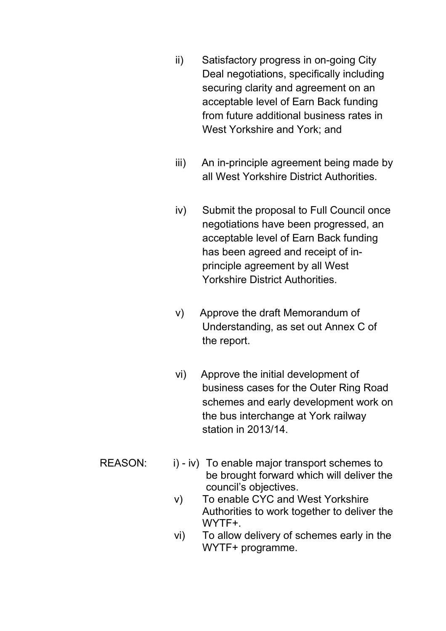- ii) Satisfactory progress in on-going City Deal negotiations, specifically including securing clarity and agreement on an acceptable level of Earn Back funding from future additional business rates in West Yorkshire and York; and
- iii) An in-principle agreement being made by all West Yorkshire District Authorities.
- iv) Submit the proposal to Full Council once negotiations have been progressed, an acceptable level of Earn Back funding has been agreed and receipt of inprinciple agreement by all West Yorkshire District Authorities.
- v) Approve the draft Memorandum of Understanding, as set out Annex C of the report.
- vi) Approve the initial development of business cases for the Outer Ring Road schemes and early development work on the bus interchange at York railway station in 2013/14.
- REASON: i) iv) To enable major transport schemes to be brought forward which will deliver the council's objectives.
	- v) To enable CYC and West Yorkshire Authorities to work together to deliver the WYTF+.
	- vi) To allow delivery of schemes early in the WYTF+ programme.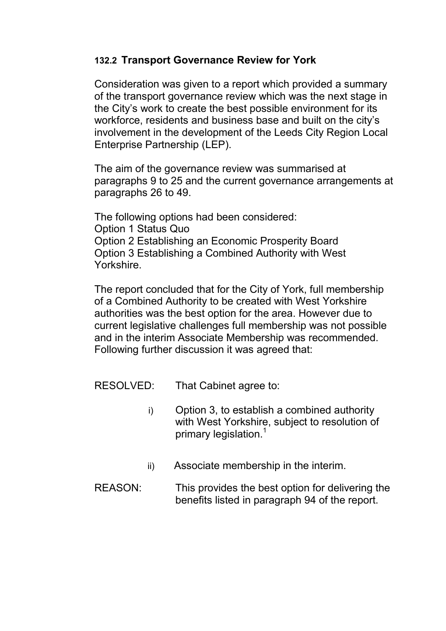### **132.2 Transport Governance Review for York**

Consideration was given to a report which provided a summary of the transport governance review which was the next stage in the City's work to create the best possible environment for its workforce, residents and business base and built on the city's involvement in the development of the Leeds City Region Local Enterprise Partnership (LEP).

The aim of the governance review was summarised at paragraphs 9 to 25 and the current governance arrangements at paragraphs 26 to 49.

The following options had been considered: Option 1 Status Quo Option 2 Establishing an Economic Prosperity Board Option 3 Establishing a Combined Authority with West Yorkshire.

The report concluded that for the City of York, full membership of a Combined Authority to be created with West Yorkshire authorities was the best option for the area. However due to current legislative challenges full membership was not possible and in the interim Associate Membership was recommended. Following further discussion it was agreed that:

- RESOLVED: That Cabinet agree to:
	- i) Option 3, to establish a combined authority with West Yorkshire, subject to resolution of primary legislation.<sup>1</sup>
	- ii) Associate membership in the interim.
- REASON: This provides the best option for delivering the benefits listed in paragraph 94 of the report.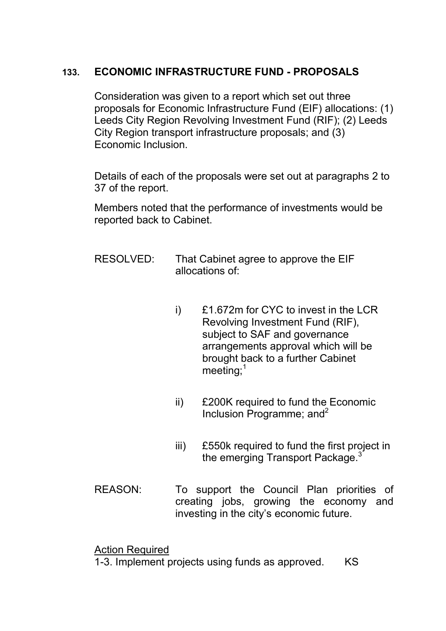# **133. ECONOMIC INFRASTRUCTURE FUND - PROPOSALS**

Consideration was given to a report which set out three proposals for Economic Infrastructure Fund (EIF) allocations: (1) Leeds City Region Revolving Investment Fund (RIF); (2) Leeds City Region transport infrastructure proposals; and (3) Economic Inclusion.

Details of each of the proposals were set out at paragraphs 2 to 37 of the report.

Members noted that the performance of investments would be reported back to Cabinet.

- RESOLVED: That Cabinet agree to approve the EIF allocations of:
	- i) £1.672m for CYC to invest in the LCR Revolving Investment Fund (RIF), subject to SAF and governance arrangements approval which will be brought back to a further Cabinet  $meet$ ing; $<sup>1</sup>$ </sup>
	- ii) £200K required to fund the Economic Inclusion Programme; and  $2^2$
	- iii) £550k required to fund the first project in the emerging Transport Package.<sup>3</sup>
- REASON: To support the Council Plan priorities of creating jobs, growing the economy and investing in the city's economic future.

Action Required

1-3. Implement projects using funds as approved. KS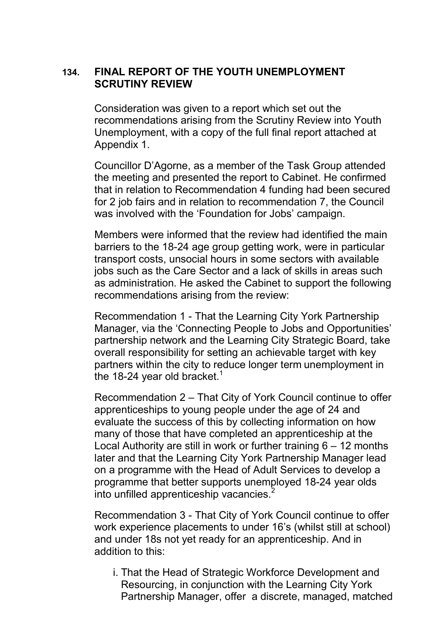### **134. FINAL REPORT OF THE YOUTH UNEMPLOYMENT SCRUTINY REVIEW**

Consideration was given to a report which set out the recommendations arising from the Scrutiny Review into Youth Unemployment, with a copy of the full final report attached at Appendix 1.

Councillor D'Agorne, as a member of the Task Group attended the meeting and presented the report to Cabinet. He confirmed that in relation to Recommendation 4 funding had been secured for 2 job fairs and in relation to recommendation 7, the Council was involved with the 'Foundation for Jobs' campaign.

Members were informed that the review had identified the main barriers to the 18-24 age group getting work, were in particular transport costs, unsocial hours in some sectors with available jobs such as the Care Sector and a lack of skills in areas such as administration. He asked the Cabinet to support the following recommendations arising from the review:

Recommendation 1 - That the Learning City York Partnership Manager, via the 'Connecting People to Jobs and Opportunities' partnership network and the Learning City Strategic Board, take overall responsibility for setting an achievable target with key partners within the city to reduce longer term unemployment in the 18-24 year old bracket.<sup>1</sup>

Recommendation 2 – That City of York Council continue to offer apprenticeships to young people under the age of 24 and evaluate the success of this by collecting information on how many of those that have completed an apprenticeship at the Local Authority are still in work or further training 6 – 12 months later and that the Learning City York Partnership Manager lead on a programme with the Head of Adult Services to develop a programme that better supports unemployed 18-24 year olds into unfilled apprenticeship vacancies.<sup>2</sup>

Recommendation 3 - That City of York Council continue to offer work experience placements to under 16's (whilst still at school) and under 18s not yet ready for an apprenticeship. And in addition to this:

i. That the Head of Strategic Workforce Development and Resourcing, in conjunction with the Learning City York Partnership Manager, offer a discrete, managed, matched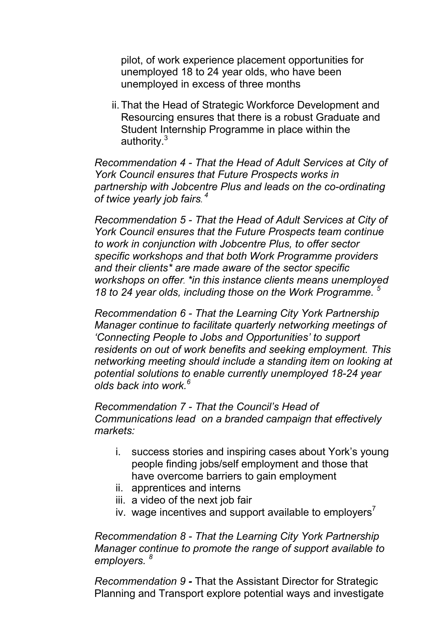pilot, of work experience placement opportunities for unemployed 18 to 24 year olds, who have been unemployed in excess of three months

ii. That the Head of Strategic Workforce Development and Resourcing ensures that there is a robust Graduate and Student Internship Programme in place within the authority.<sup>3</sup>

*Recommendation 4 - That the Head of Adult Services at City of York Council ensures that Future Prospects works in partnership with Jobcentre Plus and leads on the co-ordinating of twice yearly job fairs. 4*

*Recommendation 5 - That the Head of Adult Services at City of York Council ensures that the Future Prospects team continue to work in conjunction with Jobcentre Plus, to offer sector specific workshops and that both Work Programme providers and their clients\* are made aware of the sector specific workshops on offer. \*in this instance clients means unemployed 18 to 24 year olds, including those on the Work Programme. <sup>5</sup>*

*Recommendation 6 - That the Learning City York Partnership Manager continue to facilitate quarterly networking meetings of 'Connecting People to Jobs and Opportunities' to support residents on out of work benefits and seeking employment. This networking meeting should include a standing item on looking at potential solutions to enable currently unemployed 18-24 year olds back into work.<sup>6</sup>* 

*Recommendation 7 - That the Council's Head of Communications lead on a branded campaign that effectively markets:* 

- i. success stories and inspiring cases about York's young people finding jobs/self employment and those that have overcome barriers to gain employment
- ii. apprentices and interns
- iii. a video of the next job fair
- iv. wage incentives and support available to employers<sup> $\prime$ </sup>

*Recommendation 8 - That the Learning City York Partnership Manager continue to promote the range of support available to employers. <sup>8</sup>*

*Recommendation 9 -* That the Assistant Director for Strategic Planning and Transport explore potential ways and investigate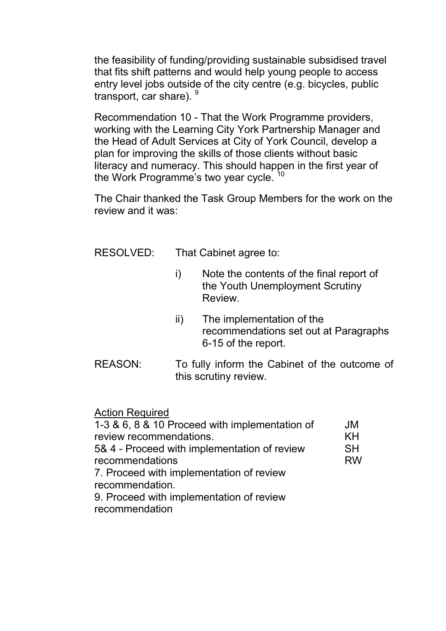the feasibility of funding/providing sustainable subsidised travel that fits shift patterns and would help young people to access entry level jobs outside of the city centre (e.g. bicycles, public transport, car share). 9

Recommendation 10 - That the Work Programme providers, working with the Learning City York Partnership Manager and the Head of Adult Services at City of York Council, develop a plan for improving the skills of those clients without basic literacy and numeracy. This should happen in the first year of the Work Programme's two year cycle.<sup>10</sup>

The Chair thanked the Task Group Members for the work on the review and it was:

RESOLVED: That Cabinet agree to:

- i) Note the contents of the final report of the Youth Unemployment Scrutiny Review.
- ii) The implementation of the recommendations set out at Paragraphs 6-15 of the report.
- REASON: To fully inform the Cabinet of the outcome of this scrutiny review.

Action Required

| 1-3 & 6, 8 & 10 Proceed with implementation of | JM        |
|------------------------------------------------|-----------|
| review recommendations.                        | KH        |
| 5& 4 - Proceed with implementation of review   | <b>SH</b> |
| recommendations                                | <b>RW</b> |
| 7. Proceed with implementation of review       |           |
| recommendation.                                |           |
| 9. Proceed with implementation of review       |           |
| recommendation                                 |           |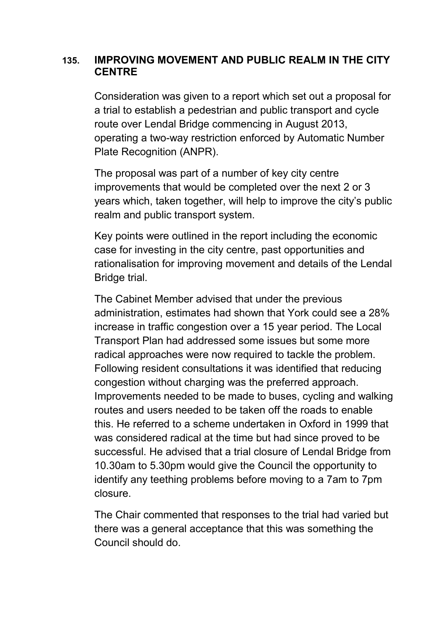## **135. IMPROVING MOVEMENT AND PUBLIC REALM IN THE CITY CENTRE**

Consideration was given to a report which set out a proposal for a trial to establish a pedestrian and public transport and cycle route over Lendal Bridge commencing in August 2013, operating a two-way restriction enforced by Automatic Number Plate Recognition (ANPR).

The proposal was part of a number of key city centre improvements that would be completed over the next 2 or 3 years which, taken together, will help to improve the city's public realm and public transport system.

Key points were outlined in the report including the economic case for investing in the city centre, past opportunities and rationalisation for improving movement and details of the Lendal Bridge trial.

The Cabinet Member advised that under the previous administration, estimates had shown that York could see a 28% increase in traffic congestion over a 15 year period. The Local Transport Plan had addressed some issues but some more radical approaches were now required to tackle the problem. Following resident consultations it was identified that reducing congestion without charging was the preferred approach. Improvements needed to be made to buses, cycling and walking routes and users needed to be taken off the roads to enable this. He referred to a scheme undertaken in Oxford in 1999 that was considered radical at the time but had since proved to be successful. He advised that a trial closure of Lendal Bridge from 10.30am to 5.30pm would give the Council the opportunity to identify any teething problems before moving to a 7am to 7pm closure.

The Chair commented that responses to the trial had varied but there was a general acceptance that this was something the Council should do.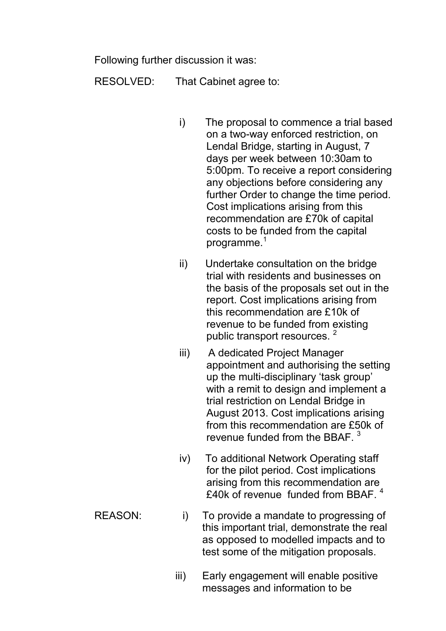Following further discussion it was:

RESOLVED: That Cabinet agree to:

- i) The proposal to commence a trial based on a two-way enforced restriction, on Lendal Bridge, starting in August, 7 days per week between 10:30am to 5:00pm. To receive a report considering any objections before considering any further Order to change the time period. Cost implications arising from this recommendation are £70k of capital costs to be funded from the capital programme. $1$
- ii) Undertake consultation on the bridge trial with residents and businesses on the basis of the proposals set out in the report. Cost implications arising from this recommendation are £10k of revenue to be funded from existing public transport resources.<sup>2</sup>
- iii) A dedicated Project Manager appointment and authorising the setting up the multi-disciplinary 'task group' with a remit to design and implement a trial restriction on Lendal Bridge in August 2013. Cost implications arising from this recommendation are £50k of revenue funded from the BBAF.<sup>3</sup>
- iv) To additional Network Operating staff for the pilot period. Cost implications arising from this recommendation are £40k of revenue funded from BBAF. <sup>4</sup>
- REASON: i) To provide a mandate to progressing of this important trial, demonstrate the real as opposed to modelled impacts and to test some of the mitigation proposals.
	- iii) Early engagement will enable positive messages and information to be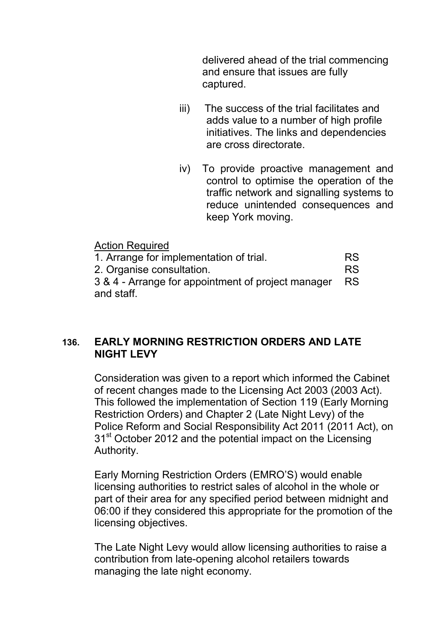delivered ahead of the trial commencing and ensure that issues are fully captured.

- iii) The success of the trial facilitates and adds value to a number of high profile initiatives. The links and dependencies are cross directorate.
- iv) To provide proactive management and control to optimise the operation of the traffic network and signalling systems to reduce unintended consequences and keep York moving.

| <b>Action Required</b>                             |           |
|----------------------------------------------------|-----------|
| 1. Arrange for implementation of trial.            | <b>RS</b> |
| 2. Organise consultation.                          |           |
| 3 & 4 - Arrange for appointment of project manager |           |
| and staff.                                         |           |

## **136. EARLY MORNING RESTRICTION ORDERS AND LATE NIGHT LEVY**

Consideration was given to a report which informed the Cabinet of recent changes made to the Licensing Act 2003 (2003 Act). This followed the implementation of Section 119 (Early Morning Restriction Orders) and Chapter 2 (Late Night Levy) of the Police Reform and Social Responsibility Act 2011 (2011 Act), on 31<sup>st</sup> October 2012 and the potential impact on the Licensing Authority.

Early Morning Restriction Orders (EMRO'S) would enable licensing authorities to restrict sales of alcohol in the whole or part of their area for any specified period between midnight and 06:00 if they considered this appropriate for the promotion of the licensing objectives.

The Late Night Levy would allow licensing authorities to raise a contribution from late-opening alcohol retailers towards managing the late night economy.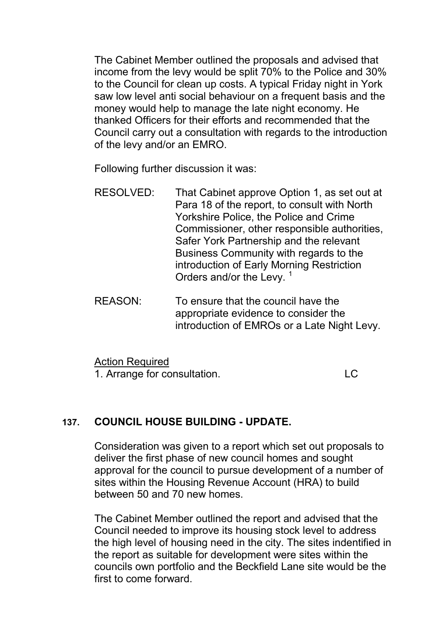The Cabinet Member outlined the proposals and advised that income from the levy would be split 70% to the Police and 30% to the Council for clean up costs. A typical Friday night in York saw low level anti social behaviour on a frequent basis and the money would help to manage the late night economy. He thanked Officers for their efforts and recommended that the Council carry out a consultation with regards to the introduction of the levy and/or an EMRO.

Following further discussion it was:

- RESOLVED: That Cabinet approve Option 1, as set out at Para 18 of the report, to consult with North Yorkshire Police, the Police and Crime Commissioner, other responsible authorities, Safer York Partnership and the relevant Business Community with regards to the introduction of Early Morning Restriction Orders and/or the Levy.<sup>1</sup>
- REASON: To ensure that the council have the appropriate evidence to consider the introduction of EMROs or a Late Night Levy.

Action Required 1. Arrange for consultation. LC

## **137. COUNCIL HOUSE BUILDING - UPDATE.**

Consideration was given to a report which set out proposals to deliver the first phase of new council homes and sought approval for the council to pursue development of a number of sites within the Housing Revenue Account (HRA) to build between 50 and 70 new homes.

The Cabinet Member outlined the report and advised that the Council needed to improve its housing stock level to address the high level of housing need in the city. The sites indentified in the report as suitable for development were sites within the councils own portfolio and the Beckfield Lane site would be the first to come forward.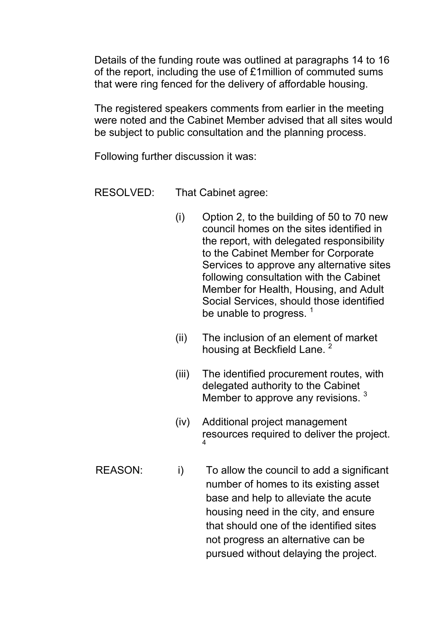Details of the funding route was outlined at paragraphs 14 to 16 of the report, including the use of £1million of commuted sums that were ring fenced for the delivery of affordable housing.

The registered speakers comments from earlier in the meeting were noted and the Cabinet Member advised that all sites would be subject to public consultation and the planning process.

Following further discussion it was:

RESOLVED: That Cabinet agree:

- (i) Option 2, to the building of 50 to 70 new council homes on the sites identified in the report, with delegated responsibility to the Cabinet Member for Corporate Services to approve any alternative sites following consultation with the Cabinet Member for Health, Housing, and Adult Social Services, should those identified be unable to progress.  $<sup>1</sup>$ </sup>
- (ii) The inclusion of an element of market housing at Beckfield Lane.<sup>2</sup>
- (iii) The identified procurement routes, with delegated authority to the Cabinet Member to approve any revisions.<sup>3</sup>
- (iv) Additional project management resources required to deliver the project. 4
- REASON: i) To allow the council to add a significant number of homes to its existing asset base and help to alleviate the acute housing need in the city, and ensure that should one of the identified sites not progress an alternative can be pursued without delaying the project.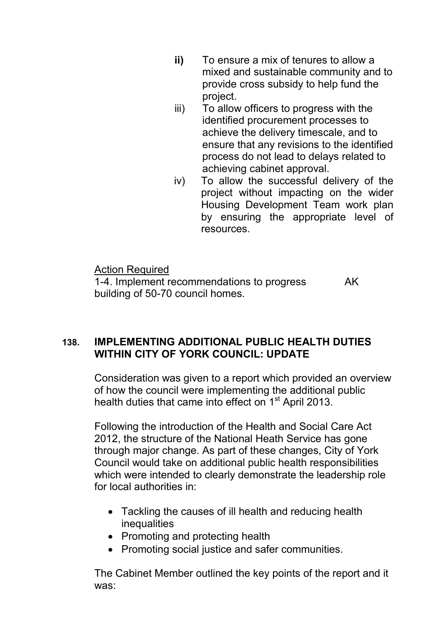- **ii)** To ensure a mix of tenures to allow a mixed and sustainable community and to provide cross subsidy to help fund the project.
- iii) To allow officers to progress with the identified procurement processes to achieve the delivery timescale, and to ensure that any revisions to the identified process do not lead to delays related to achieving cabinet approval.
- iv) To allow the successful delivery of the project without impacting on the wider Housing Development Team work plan by ensuring the appropriate level of resources.

Action Required 1-4. Implement recommendations to progress building of 50-70 council homes. AK

# **138. IMPLEMENTING ADDITIONAL PUBLIC HEALTH DUTIES WITHIN CITY OF YORK COUNCIL: UPDATE**

Consideration was given to a report which provided an overview of how the council were implementing the additional public health duties that came into effect on  $1<sup>st</sup>$  April 2013.

Following the introduction of the Health and Social Care Act 2012, the structure of the National Heath Service has gone through major change. As part of these changes, City of York Council would take on additional public health responsibilities which were intended to clearly demonstrate the leadership role for local authorities in:

- Tackling the causes of ill health and reducing health inequalities
- Promoting and protecting health
- Promoting social justice and safer communities.

The Cabinet Member outlined the key points of the report and it was: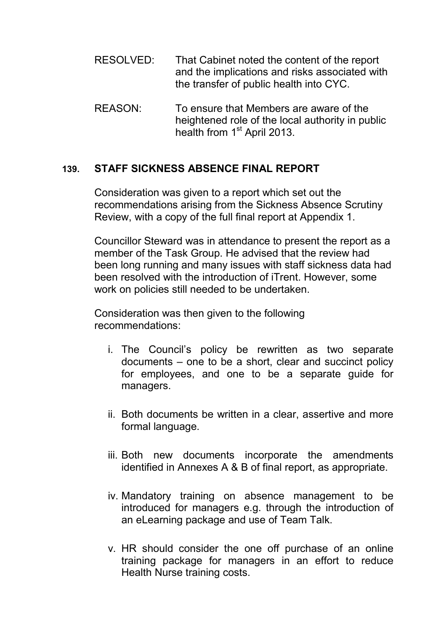- RESOLVED: That Cabinet noted the content of the report and the implications and risks associated with the transfer of public health into CYC.
- REASON: To ensure that Members are aware of the heightened role of the local authority in public health from 1<sup>st</sup> April 2013.

#### **139. STAFF SICKNESS ABSENCE FINAL REPORT**

Consideration was given to a report which set out the recommendations arising from the Sickness Absence Scrutiny Review, with a copy of the full final report at Appendix 1.

Councillor Steward was in attendance to present the report as a member of the Task Group. He advised that the review had been long running and many issues with staff sickness data had been resolved with the introduction of iTrent. However, some work on policies still needed to be undertaken.

Consideration was then given to the following recommendations:

- i. The Council's policy be rewritten as two separate documents – one to be a short, clear and succinct policy for employees, and one to be a separate guide for managers.
- ii. Both documents be written in a clear, assertive and more formal language.
- iii. Both new documents incorporate the amendments identified in Annexes A & B of final report, as appropriate.
- iv. Mandatory training on absence management to be introduced for managers e.g. through the introduction of an eLearning package and use of Team Talk.
- v. HR should consider the one off purchase of an online training package for managers in an effort to reduce Health Nurse training costs.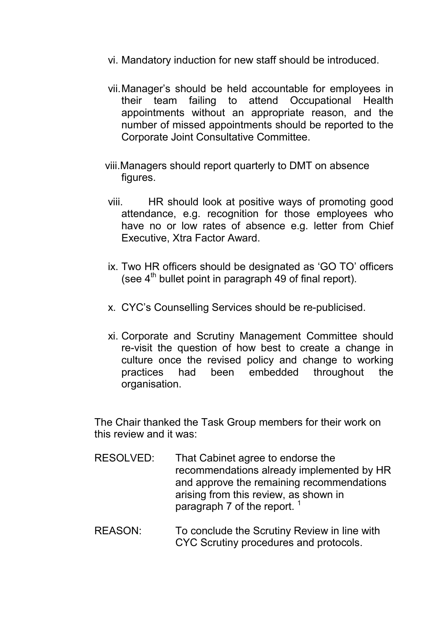- vi. Mandatory induction for new staff should be introduced.
- vii. Manager's should be held accountable for employees in their team failing to attend Occupational Health appointments without an appropriate reason, and the number of missed appointments should be reported to the Corporate Joint Consultative Committee.
- viii.Managers should report quarterly to DMT on absence figures.
- viii. HR should look at positive ways of promoting good attendance, e.g. recognition for those employees who have no or low rates of absence e.g. letter from Chief Executive, Xtra Factor Award.
- ix. Two HR officers should be designated as 'GO TO' officers (see  $4<sup>th</sup>$  bullet point in paragraph 49 of final report).
- x. CYC's Counselling Services should be re-publicised.
- xi. Corporate and Scrutiny Management Committee should re-visit the question of how best to create a change in culture once the revised policy and change to working practices had been embedded throughout the organisation.

The Chair thanked the Task Group members for their work on this review and it was:

- RESOLVED: That Cabinet agree to endorse the recommendations already implemented by HR and approve the remaining recommendations arising from this review, as shown in paragraph 7 of the report.  $1$
- REASON: To conclude the Scrutiny Review in line with CYC Scrutiny procedures and protocols.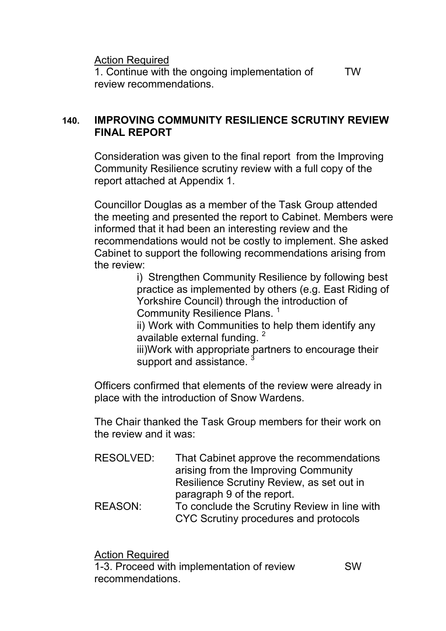Action Required

1. Continue with the ongoing implementation of review recommendations. TW

## **140. IMPROVING COMMUNITY RESILIENCE SCRUTINY REVIEW FINAL REPORT**

Consideration was given to the final report from the Improving Community Resilience scrutiny review with a full copy of the report attached at Appendix 1.

Councillor Douglas as a member of the Task Group attended the meeting and presented the report to Cabinet. Members were informed that it had been an interesting review and the recommendations would not be costly to implement. She asked Cabinet to support the following recommendations arising from the review:

i) Strengthen Community Resilience by following best practice as implemented by others (e.g. East Riding of Yorkshire Council) through the introduction of Community Resilience Plans. <sup>1</sup>

ii) Work with Communities to help them identify any available external funding.<sup>2</sup>

iii)Work with appropriate partners to encourage their support and assistance.

Officers confirmed that elements of the review were already in place with the introduction of Snow Wardens.

The Chair thanked the Task Group members for their work on the review and it was:

| RESOLVED:      | That Cabinet approve the recommendations<br>arising from the Improving Community |
|----------------|----------------------------------------------------------------------------------|
|                |                                                                                  |
|                | Resilience Scrutiny Review, as set out in                                        |
|                | paragraph 9 of the report.                                                       |
| <b>REASON:</b> | To conclude the Scrutiny Review in line with                                     |

CYC Scrutiny procedures and protocols

Action Required

1-3. Proceed with implementation of review recommendations. SW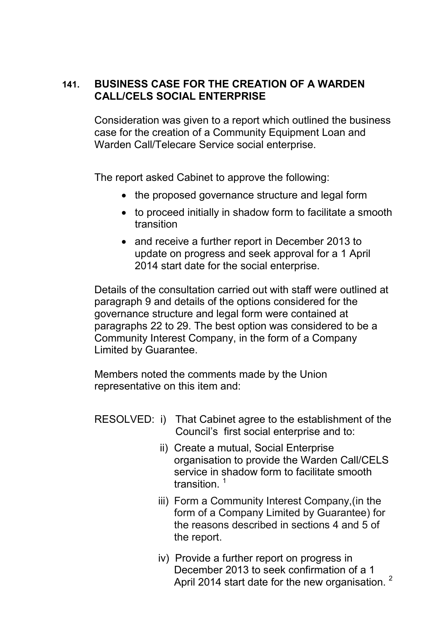## **141. BUSINESS CASE FOR THE CREATION OF A WARDEN CALL/CELS SOCIAL ENTERPRISE**

Consideration was given to a report which outlined the business case for the creation of a Community Equipment Loan and Warden Call/Telecare Service social enterprise.

The report asked Cabinet to approve the following:

- the proposed governance structure and legal form
- to proceed initially in shadow form to facilitate a smooth transition
- and receive a further report in December 2013 to update on progress and seek approval for a 1 April 2014 start date for the social enterprise.

Details of the consultation carried out with staff were outlined at paragraph 9 and details of the options considered for the governance structure and legal form were contained at paragraphs 22 to 29. The best option was considered to be a Community Interest Company, in the form of a Company Limited by Guarantee.

Members noted the comments made by the Union representative on this item and:

RESOLVED: i) That Cabinet agree to the establishment of the Council's first social enterprise and to:

- ii) Create a mutual, Social Enterprise organisation to provide the Warden Call/CELS service in shadow form to facilitate smooth transition $1$
- iii) Form a Community Interest Company,(in the form of a Company Limited by Guarantee) for the reasons described in sections 4 and 5 of the report.
- iv) Provide a further report on progress in December 2013 to seek confirmation of a 1 April 2014 start date for the new organisation.<sup>2</sup>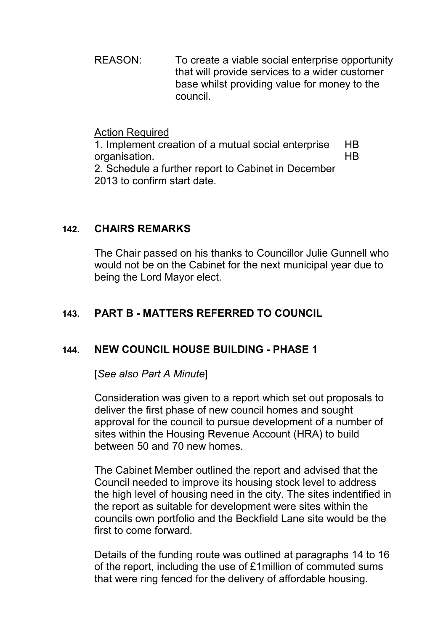REASON: To create a viable social enterprise opportunity that will provide services to a wider customer base whilst providing value for money to the council.

#### Action Required

1. Implement creation of a mutual social enterprise organisation. 2. Schedule a further report to Cabinet in December 2013 to confirm start date. HB HB

## **142. CHAIRS REMARKS**

The Chair passed on his thanks to Councillor Julie Gunnell who would not be on the Cabinet for the next municipal year due to being the Lord Mayor elect.

# **143. PART B - MATTERS REFERRED TO COUNCIL**

## **144. NEW COUNCIL HOUSE BUILDING - PHASE 1**

[*See also Part A Minute*]

Consideration was given to a report which set out proposals to deliver the first phase of new council homes and sought approval for the council to pursue development of a number of sites within the Housing Revenue Account (HRA) to build between 50 and 70 new homes.

The Cabinet Member outlined the report and advised that the Council needed to improve its housing stock level to address the high level of housing need in the city. The sites indentified in the report as suitable for development were sites within the councils own portfolio and the Beckfield Lane site would be the first to come forward.

Details of the funding route was outlined at paragraphs 14 to 16 of the report, including the use of £1million of commuted sums that were ring fenced for the delivery of affordable housing.